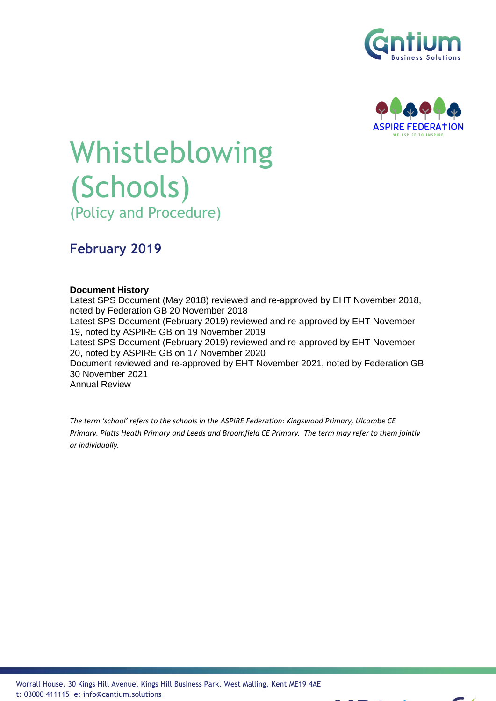



# Whistleblowing (Schools) (Policy and Procedure)

## **February 2019**

#### **Document History**

Latest SPS Document (May 2018) reviewed and re-approved by EHT November 2018, noted by Federation GB 20 November 2018 Latest SPS Document (February 2019) reviewed and re-approved by EHT November 19, noted by ASPIRE GB on 19 November 2019 Latest SPS Document (February 2019) reviewed and re-approved by EHT November 20, noted by ASPIRE GB on 17 November 2020 Document reviewed and re-approved by EHT November 2021, noted by Federation GB 30 November 2021 Annual Review

*The term 'school' refers to the schools in the ASPIRE Federation: Kingswood Primary, Ulcombe CE Primary, Platts Heath Primary and Leeds and Broomfield CE Primary. The term may refer to them jointly or individually.*

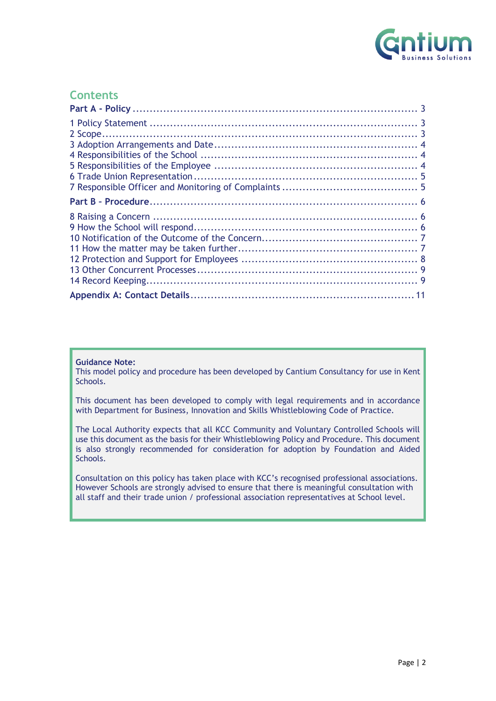

### **Contents**

#### **Guidance Note:**

This model policy and procedure has been developed by Cantium Consultancy for use in Kent Schools.

This document has been developed to comply with legal requirements and in accordance with Department for Business, Innovation and Skills Whistleblowing Code of Practice.

The Local Authority expects that all KCC Community and Voluntary Controlled Schools will use this document as the basis for their Whistleblowing Policy and Procedure. This document is also strongly recommended for consideration for adoption by Foundation and Aided Schools.

<span id="page-1-0"></span>Consultation on this policy has taken place with KCC's recognised professional associations. However Schools are strongly advised to ensure that there is meaningful consultation with all staff and their trade union / professional association representatives at School level.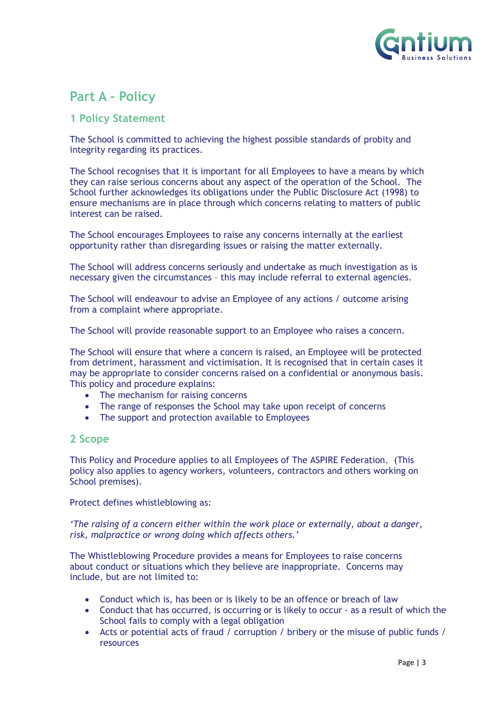

## **Part A - Policy**

#### <span id="page-2-0"></span>**1 Policy Statement**

The School is committed to achieving the highest possible standards of probity and integrity regarding its practices.

The School recognises that it is important for all Employees to have a means by which they can raise serious concerns about any aspect of the operation of the School. The School further acknowledges its obligations under the Public Disclosure Act (1998) to ensure mechanisms are in place through which concerns relating to matters of public interest can be raised.

The School encourages Employees to raise any concerns internally at the earliest opportunity rather than disregarding issues or raising the matter externally.

The School will address concerns seriously and undertake as much investigation as is necessary given the circumstances – this may include referral to external agencies.

The School will endeavour to advise an Employee of any actions / outcome arising from a complaint where appropriate.

The School will provide reasonable support to an Employee who raises a concern.

The School will ensure that where a concern is raised, an Employee will be protected from detriment, harassment and victimisation. It is recognised that in certain cases it may be appropriate to consider concerns raised on a confidential or anonymous basis. This policy and procedure explains:

- The mechanism for raising concerns
- The range of responses the School may take upon receipt of concerns
- The support and protection available to Employees

#### <span id="page-2-1"></span>**2 Scope**

This Policy and Procedure applies to all Employees of The ASPIRE Federation. (This policy also applies to agency workers, volunteers, contractors and others working on School premises).

Protect defines whistleblowing as:

*'The raising of a concern either within the work place or externally, about a danger, risk, malpractice or wrong doing which affects others.'*

The Whistleblowing Procedure provides a means for Employees to raise concerns about conduct or situations which they believe are inappropriate. Concerns may include, but are not limited to:

- Conduct which is, has been or is likely to be an offence or breach of law
- Conduct that has occurred, is occurring or is likely to occur as a result of which the School fails to comply with a legal obligation
- Acts or potential acts of fraud / corruption / bribery or the misuse of public funds / resources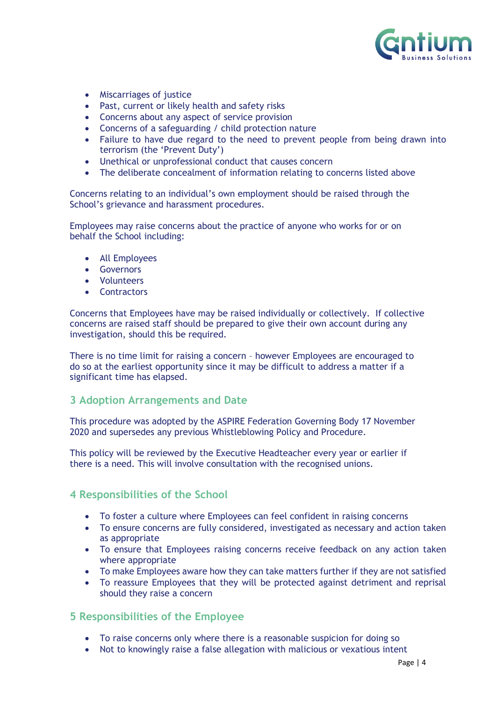

- Miscarriages of justice
- Past, current or likely health and safety risks
- Concerns about any aspect of service provision
- Concerns of a safeguarding / child protection nature
- Failure to have due regard to the need to prevent people from being drawn into terrorism (the 'Prevent Duty')
- Unethical or unprofessional conduct that causes concern
- The deliberate concealment of information relating to concerns listed above

Concerns relating to an individual's own employment should be raised through the School's grievance and harassment procedures.

Employees may raise concerns about the practice of anyone who works for or on behalf the School including:

- All Employees
- Governors
- Volunteers
- Contractors

Concerns that Employees have may be raised individually or collectively. If collective concerns are raised staff should be prepared to give their own account during any investigation, should this be required.

There is no time limit for raising a concern – however Employees are encouraged to do so at the earliest opportunity since it may be difficult to address a matter if a significant time has elapsed.

#### <span id="page-3-0"></span>**3 Adoption Arrangements and Date**

This procedure was adopted by the ASPIRE Federation Governing Body 17 November 2020 and supersedes any previous Whistleblowing Policy and Procedure.

This policy will be reviewed by the Executive Headteacher every year or earlier if there is a need. This will involve consultation with the recognised unions.

#### <span id="page-3-1"></span>**4 Responsibilities of the School**

- To foster a culture where Employees can feel confident in raising concerns
- To ensure concerns are fully considered, investigated as necessary and action taken as appropriate
- To ensure that Employees raising concerns receive feedback on any action taken where appropriate
- To make Employees aware how they can take matters further if they are not satisfied
- To reassure Employees that they will be protected against detriment and reprisal should they raise a concern

#### <span id="page-3-2"></span>**5 Responsibilities of the Employee**

- To raise concerns only where there is a reasonable suspicion for doing so
- Not to knowingly raise a false allegation with malicious or vexatious intent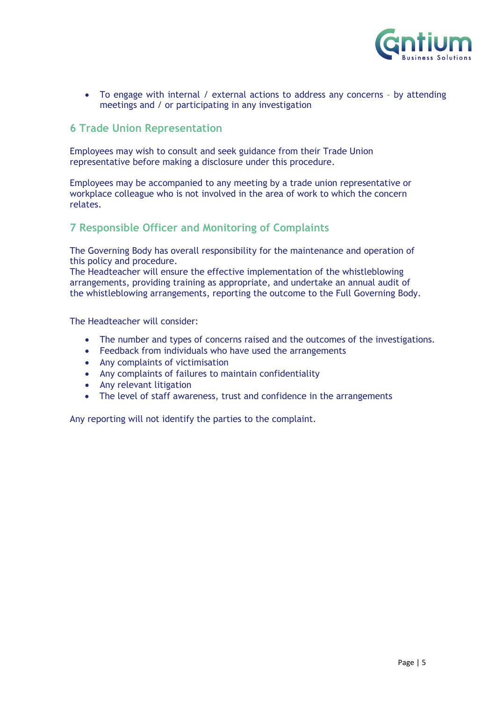

• To engage with internal / external actions to address any concerns – by attending meetings and / or participating in any investigation

#### <span id="page-4-0"></span>**6 Trade Union Representation**

Employees may wish to consult and seek guidance from their Trade Union representative before making a disclosure under this procedure.

Employees may be accompanied to any meeting by a trade union representative or workplace colleague who is not involved in the area of work to which the concern relates.

#### <span id="page-4-1"></span>**7 Responsible Officer and Monitoring of Complaints**

The Governing Body has overall responsibility for the maintenance and operation of this policy and procedure.

The Headteacher will ensure the effective implementation of the whistleblowing arrangements, providing training as appropriate, and undertake an annual audit of the whistleblowing arrangements, reporting the outcome to the Full Governing Body.

The Headteacher will consider:

- The number and types of concerns raised and the outcomes of the investigations.
- Feedback from individuals who have used the arrangements
- Any complaints of victimisation
- Any complaints of failures to maintain confidentiality
- Any relevant litigation
- The level of staff awareness, trust and confidence in the arrangements

Any reporting will not identify the parties to the complaint.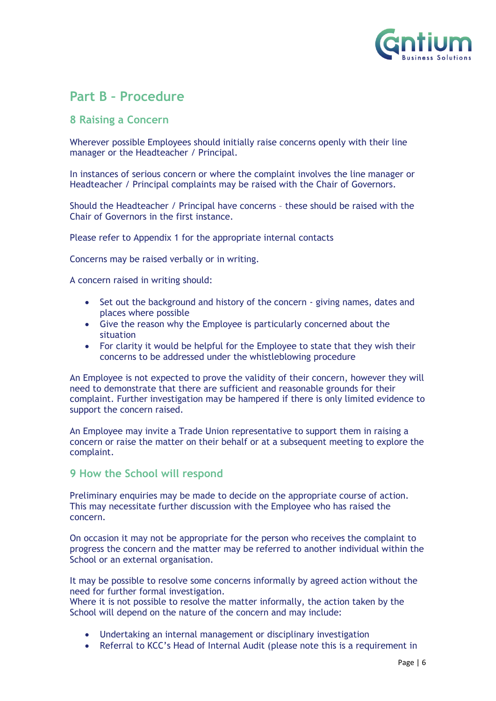

## <span id="page-5-0"></span>**Part B – Procedure**

#### <span id="page-5-1"></span>**8 Raising a Concern**

Wherever possible Employees should initially raise concerns openly with their line manager or the Headteacher / Principal.

In instances of serious concern or where the complaint involves the line manager or Headteacher / Principal complaints may be raised with the Chair of Governors.

Should the Headteacher / Principal have concerns – these should be raised with the Chair of Governors in the first instance.

Please refer to Appendix 1 for the appropriate internal contacts

Concerns may be raised verbally or in writing.

A concern raised in writing should:

- Set out the background and history of the concern giving names, dates and places where possible
- Give the reason why the Employee is particularly concerned about the situation
- For clarity it would be helpful for the Employee to state that they wish their concerns to be addressed under the whistleblowing procedure

An Employee is not expected to prove the validity of their concern, however they will need to demonstrate that there are sufficient and reasonable grounds for their complaint. Further investigation may be hampered if there is only limited evidence to support the concern raised.

An Employee may invite a Trade Union representative to support them in raising a concern or raise the matter on their behalf or at a subsequent meeting to explore the complaint.

#### <span id="page-5-2"></span>**9 How the School will respond**

Preliminary enquiries may be made to decide on the appropriate course of action. This may necessitate further discussion with the Employee who has raised the concern.

On occasion it may not be appropriate for the person who receives the complaint to progress the concern and the matter may be referred to another individual within the School or an external organisation.

It may be possible to resolve some concerns informally by agreed action without the need for further formal investigation.

Where it is not possible to resolve the matter informally, the action taken by the School will depend on the nature of the concern and may include:

- Undertaking an internal management or disciplinary investigation
- Referral to KCC's Head of Internal Audit (please note this is a requirement in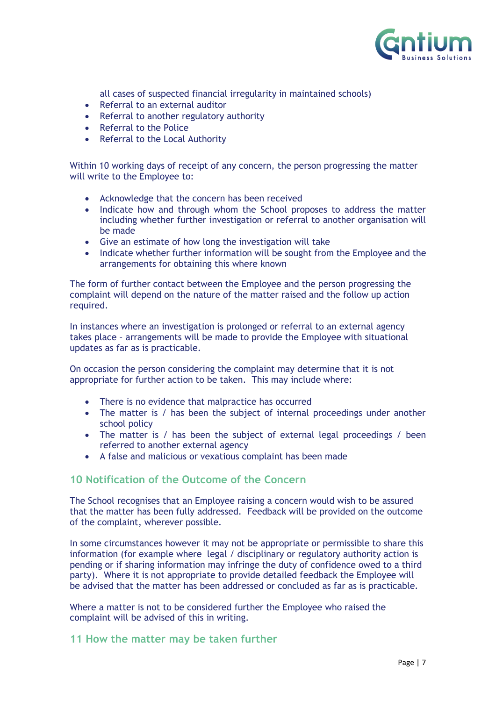

all cases of suspected financial irregularity in maintained schools)

- Referral to an external auditor
- Referral to another regulatory authority
- Referral to the Police
- Referral to the Local Authority

Within 10 working days of receipt of any concern, the person progressing the matter will write to the Employee to:

- Acknowledge that the concern has been received
- Indicate how and through whom the School proposes to address the matter including whether further investigation or referral to another organisation will be made
- Give an estimate of how long the investigation will take
- Indicate whether further information will be sought from the Employee and the arrangements for obtaining this where known

The form of further contact between the Employee and the person progressing the complaint will depend on the nature of the matter raised and the follow up action required.

In instances where an investigation is prolonged or referral to an external agency takes place – arrangements will be made to provide the Employee with situational updates as far as is practicable.

On occasion the person considering the complaint may determine that it is not appropriate for further action to be taken. This may include where:

- There is no evidence that malpractice has occurred
- The matter is / has been the subject of internal proceedings under another school policy
- The matter is / has been the subject of external legal proceedings / been referred to another external agency
- A false and malicious or vexatious complaint has been made

#### <span id="page-6-0"></span>**10 Notification of the Outcome of the Concern**

The School recognises that an Employee raising a concern would wish to be assured that the matter has been fully addressed. Feedback will be provided on the outcome of the complaint, wherever possible.

In some circumstances however it may not be appropriate or permissible to share this information (for example where legal / disciplinary or regulatory authority action is pending or if sharing information may infringe the duty of confidence owed to a third party). Where it is not appropriate to provide detailed feedback the Employee will be advised that the matter has been addressed or concluded as far as is practicable.

Where a matter is not to be considered further the Employee who raised the complaint will be advised of this in writing.

#### <span id="page-6-1"></span>**11 How the matter may be taken further**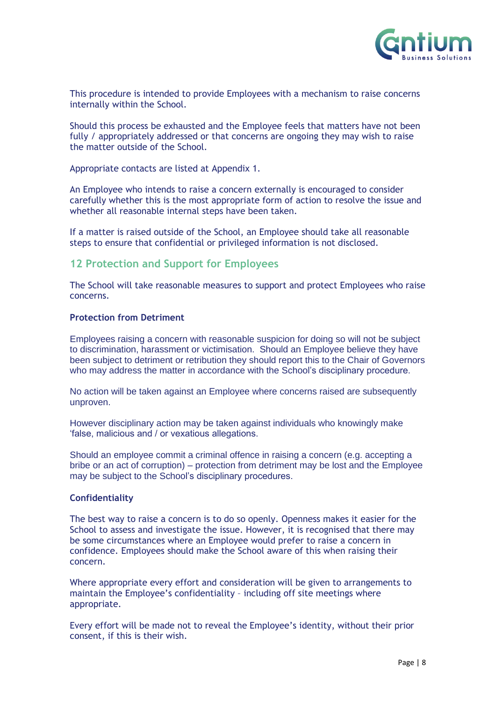

This procedure is intended to provide Employees with a mechanism to raise concerns internally within the School.

Should this process be exhausted and the Employee feels that matters have not been fully / appropriately addressed or that concerns are ongoing they may wish to raise the matter outside of the School.

Appropriate contacts are listed at Appendix 1.

An Employee who intends to raise a concern externally is encouraged to consider carefully whether this is the most appropriate form of action to resolve the issue and whether all reasonable internal steps have been taken.

If a matter is raised outside of the School, an Employee should take all reasonable steps to ensure that confidential or privileged information is not disclosed.

#### <span id="page-7-0"></span>**12 Protection and Support for Employees**

The School will take reasonable measures to support and protect Employees who raise concerns.

#### **Protection from Detriment**

Employees raising a concern with reasonable suspicion for doing so will not be subject to discrimination, harassment or victimisation. Should an Employee believe they have been subject to detriment or retribution they should report this to the Chair of Governors who may address the matter in accordance with the School's disciplinary procedure.

No action will be taken against an Employee where concerns raised are subsequently unproven.

However disciplinary action may be taken against individuals who knowingly make 'false, malicious and / or vexatious allegations.

Should an employee commit a criminal offence in raising a concern (e.g. accepting a bribe or an act of corruption) – protection from detriment may be lost and the Employee may be subject to the School's disciplinary procedures.

#### **Confidentiality**

The best way to raise a concern is to do so openly. Openness makes it easier for the School to assess and investigate the issue. However, it is recognised that there may be some circumstances where an Employee would prefer to raise a concern in confidence. Employees should make the School aware of this when raising their concern.

Where appropriate every effort and consideration will be given to arrangements to maintain the Employee's confidentiality – including off site meetings where appropriate.

Every effort will be made not to reveal the Employee's identity, without their prior consent, if this is their wish.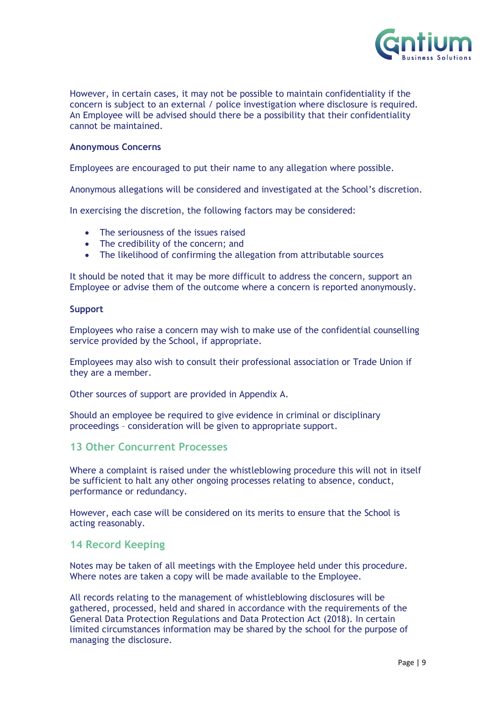

However, in certain cases, it may not be possible to maintain confidentiality if the concern is subject to an external / police investigation where disclosure is required. An Employee will be advised should there be a possibility that their confidentiality cannot be maintained.

#### **Anonymous Concerns**

Employees are encouraged to put their name to any allegation where possible.

Anonymous allegations will be considered and investigated at the School's discretion.

In exercising the discretion, the following factors may be considered:

- The seriousness of the issues raised
- The credibility of the concern; and
- The likelihood of confirming the allegation from attributable sources

It should be noted that it may be more difficult to address the concern, support an Employee or advise them of the outcome where a concern is reported anonymously.

#### **Support**

Employees who raise a concern may wish to make use of the confidential counselling service provided by the School, if appropriate.

Employees may also wish to consult their professional association or Trade Union if they are a member.

Other sources of support are provided in Appendix A.

Should an employee be required to give evidence in criminal or disciplinary proceedings – consideration will be given to appropriate support.

#### <span id="page-8-0"></span>**13 Other Concurrent Processes**

Where a complaint is raised under the whistleblowing procedure this will not in itself be sufficient to halt any other ongoing processes relating to absence, conduct, performance or redundancy.

However, each case will be considered on its merits to ensure that the School is acting reasonably.

#### <span id="page-8-1"></span>**14 Record Keeping**

Notes may be taken of all meetings with the Employee held under this procedure. Where notes are taken a copy will be made available to the Employee.

All records relating to the management of whistleblowing disclosures will be gathered, processed, held and shared in accordance with the requirements of the General Data Protection Regulations and Data Protection Act (2018). In certain limited circumstances information may be shared by the school for the purpose of managing the disclosure.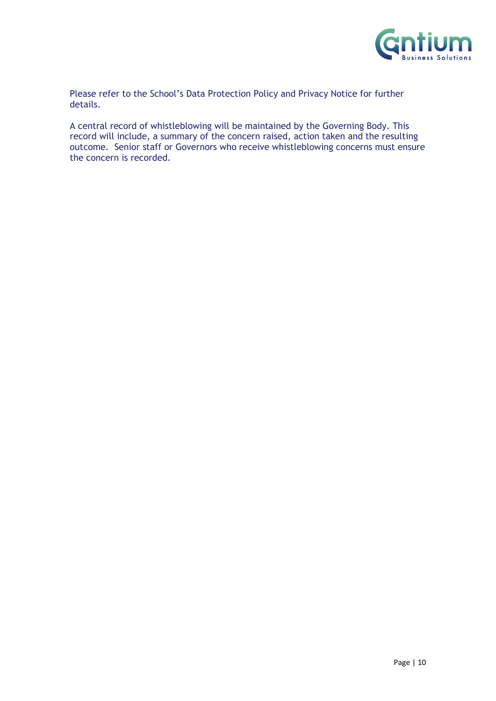

Please refer to the School's Data Protection Policy and Privacy Notice for further details.

A central record of whistleblowing will be maintained by the Governing Body. This record will include, a summary of the concern raised, action taken and the resulting outcome. Senior staff or Governors who receive whistleblowing concerns must ensure the concern is recorded.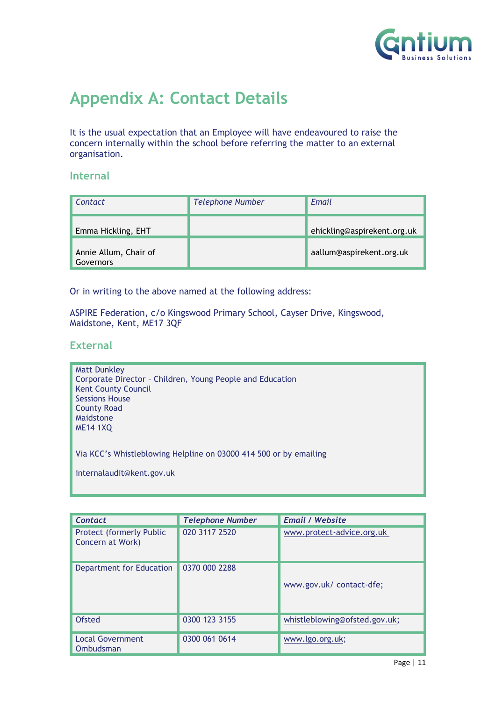

## <span id="page-10-0"></span>**Appendix A: Contact Details**

It is the usual expectation that an Employee will have endeavoured to raise the concern internally within the school before referring the matter to an external organisation.

#### **Internal**

| Contact                            | <b>Telephone Number</b> | Email                       |
|------------------------------------|-------------------------|-----------------------------|
| Emma Hickling, EHT                 |                         | ehickling@aspirekent.org.uk |
| Annie Allum, Chair of<br>Governors |                         | aallum@aspirekent.org.uk    |

Or in writing to the above named at the following address:

ASPIRE Federation, c/o Kingswood Primary School, Cayser Drive, Kingswood, Maidstone, Kent, ME17 3QF

#### **External**

**Matt Dunkley** Corporate Director – Children, Young People and Education Kent County Council Sessions House County Road Maidstone ME14 1XQ

Via KCC's Whistleblowing Helpline on 03000 414 500 or by emailing

internalaudit@kent.gov.uk

| Contact                                             | <b>Telephone Number</b> | <b>Email / Website</b>        |
|-----------------------------------------------------|-------------------------|-------------------------------|
| <b>Protect (formerly Public</b><br>Concern at Work) | 020 3117 2520           | www.protect-advice.org.uk     |
| Department for Education                            | 0370 000 2288           | www.gov.uk/ contact-dfe;      |
| Ofsted                                              | 0300 123 3155           | whistleblowing@ofsted.gov.uk; |
| <b>Local Government</b><br>Ombudsman                | 0300 061 0614           | www.lgo.org.uk;               |